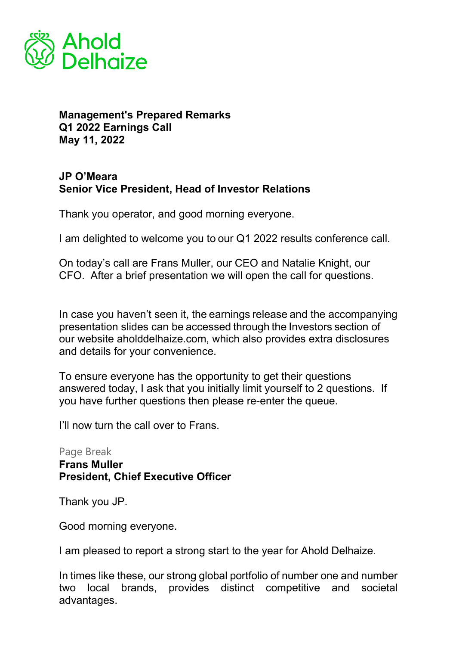

## **Management's Prepared Remarks Q1 2022 Earnings Call May 11, 2022**

## **JP O'Meara Senior Vice President, Head of Investor Relations**

Thank you operator, and good morning everyone.   

I am delighted to welcome you to our Q1 2022 results conference call.

On today's call are Frans Muller, our CEO and Natalie Knight, our CFO. After a brief presentation we will open the call for questions.

In case you haven't seen it, the earnings release and the accompanying presentation slides can be accessed through the Investors section of our website aholddelhaize.com, which also provides extra disclosures and details for your convenience.

To ensure everyone has the opportunity to get their questions answered today, I ask that you initially limit yourself to 2 questions. If you have further questions then please re-enter the queue.

I'll now turn the call over to Frans.  

Page Break **Frans Muller President, Chief Executive Officer**

Thank you JP.

Good morning everyone.

I am pleased to report a strong start to the year for Ahold Delhaize.

In times like these, our strong global portfolio of number one and number two local brands, provides distinct competitive and societal advantages.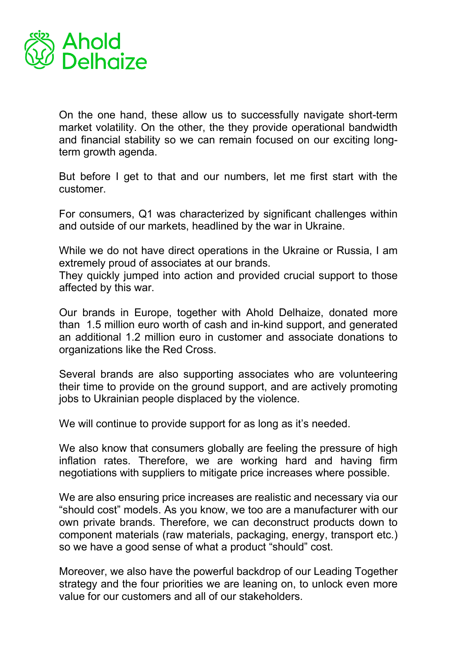

On the one hand, these allow us to successfully navigate short-term market volatility. On the other, the they provide operational bandwidth and financial stability so we can remain focused on our exciting longterm growth agenda.

But before I get to that and our numbers, let me first start with the customer.

For consumers, Q1 was characterized by significant challenges within and outside of our markets, headlined by the war in Ukraine.

While we do not have direct operations in the Ukraine or Russia, I am extremely proud of associates at our brands.

They quickly jumped into action and provided crucial support to those affected by this war.

Our brands in Europe, together with Ahold Delhaize, donated more than 1.5 million euro worth of cash and in-kind support, and generated an additional 1.2 million euro in customer and associate donations to organizations like the Red Cross.

Several brands are also supporting associates who are volunteering their time to provide on the ground support, and are actively promoting jobs to Ukrainian people displaced by the violence.

We will continue to provide support for as long as it's needed.

We also know that consumers globally are feeling the pressure of high inflation rates. Therefore, we are working hard and having firm negotiations with suppliers to mitigate price increases where possible.

We are also ensuring price increases are realistic and necessary via our "should cost" models. As you know, we too are a manufacturer with our own private brands. Therefore, we can deconstruct products down to component materials (raw materials, packaging, energy, transport etc.) so we have a good sense of what a product "should" cost.

Moreover, we also have the powerful backdrop of our Leading Together strategy and the four priorities we are leaning on, to unlock even more value for our customers and all of our stakeholders.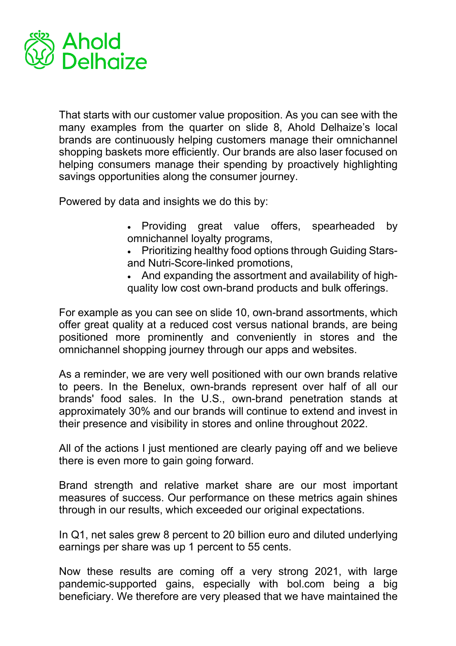

That starts with our customer value proposition. As you can see with the many examples from the quarter on slide 8, Ahold Delhaize's local brands are continuously helping customers manage their omnichannel shopping baskets more efficiently. Our brands are also laser focused on helping consumers manage their spending by proactively highlighting savings opportunities along the consumer journey.

Powered by data and insights we do this by:

- Providing great value offers, spearheaded by omnichannel loyalty programs,
- Prioritizing healthy food options through Guiding Starsand Nutri-Score-linked promotions,
- And expanding the assortment and availability of highquality low cost own-brand products and bulk offerings.

For example as you can see on slide 10, own-brand assortments, which offer great quality at a reduced cost versus national brands, are being positioned more prominently and conveniently in stores and the omnichannel shopping journey through our apps and websites.

As a reminder, we are very well positioned with our own brands relative to peers. In the Benelux, own-brands represent over half of all our brands' food sales. In the U.S., own-brand penetration stands at approximately 30% and our brands will continue to extend and invest in their presence and visibility in stores and online throughout 2022.

All of the actions I just mentioned are clearly paying off and we believe there is even more to gain going forward.

Brand strength and relative market share are our most important measures of success. Our performance on these metrics again shines through in our results, which exceeded our original expectations.

In Q1, net sales grew 8 percent to 20 billion euro and diluted underlying earnings per share was up 1 percent to 55 cents.

Now these results are coming off a very strong 2021, with large pandemic-supported gains, especially with bol.com being a big beneficiary. We therefore are very pleased that we have maintained the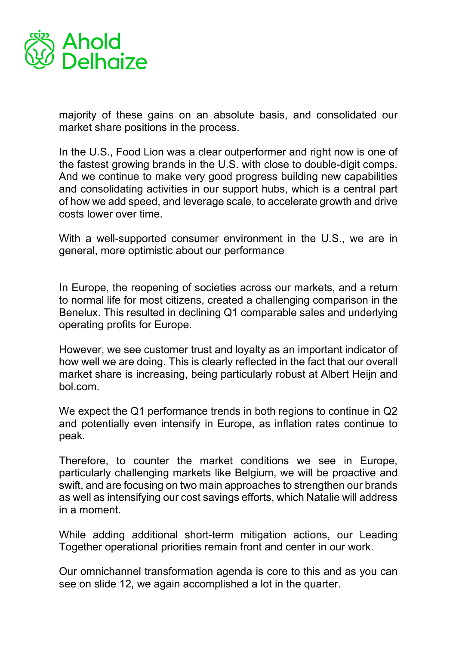

majority of these gains on an absolute basis, and consolidated our market share positions in the process.

In the U.S., Food Lion was a clear outperformer and right now is one of the fastest growing brands in the U.S. with close to double-digit comps. And we continue to make very good progress building new capabilities and consolidating activities in our support hubs, which is a central part of how we add speed, and leverage scale, to accelerate growth and drive costs lower over time.

With a well-supported consumer environment in the U.S., we are in general, more optimistic about our performance

In Europe, the reopening of societies across our markets, and a return to normal life for most citizens, created a challenging comparison in the Benelux. This resulted in declining Q1 comparable sales and underlying operating profits for Europe.

However, we see customer trust and loyalty as an important indicator of how well we are doing. This is clearly reflected in the fact that our overall market share is increasing, being particularly robust at Albert Heijn and bol.com.

We expect the Q1 performance trends in both regions to continue in Q2 and potentially even intensify in Europe, as inflation rates continue to peak.

Therefore, to counter the market conditions we see in Europe, particularly challenging markets like Belgium, we will be proactive and swift, and are focusing on two main approaches to strengthen our brands as well as intensifying our cost savings efforts, which Natalie will address in a moment.

While adding additional short-term mitigation actions, our Leading Together operational priorities remain front and center in our work.

Our omnichannel transformation agenda is core to this and as you can see on slide 12, we again accomplished a lot in the quarter.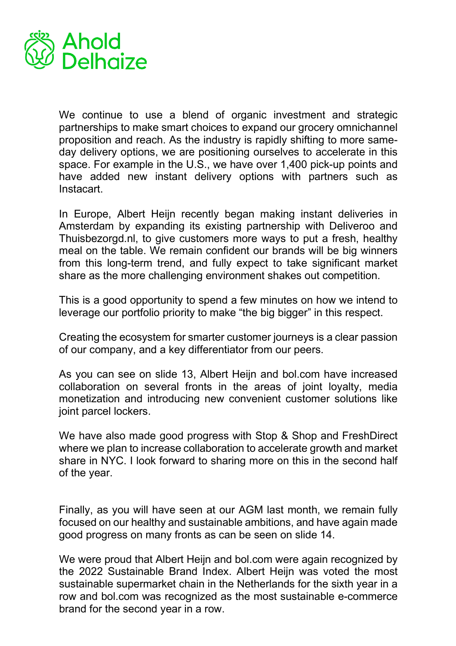

We continue to use a blend of organic investment and strategic partnerships to make smart choices to expand our grocery omnichannel proposition and reach. As the industry is rapidly shifting to more sameday delivery options, we are positioning ourselves to accelerate in this space. For example in the U.S., we have over 1,400 pick-up points and have added new instant delivery options with partners such as Instacart.

In Europe, Albert Heijn recently began making instant deliveries in Amsterdam by expanding its existing partnership with Deliveroo and Thuisbezorgd.nl, to give customers more ways to put a fresh, healthy meal on the table. We remain confident our brands will be big winners from this long-term trend, and fully expect to take significant market share as the more challenging environment shakes out competition.

This is a good opportunity to spend a few minutes on how we intend to leverage our portfolio priority to make "the big bigger" in this respect.

Creating the ecosystem for smarter customer journeys is a clear passion of our company, and a key differentiator from our peers.

As you can see on slide 13, Albert Heijn and bol.com have increased collaboration on several fronts in the areas of joint loyalty, media monetization and introducing new convenient customer solutions like joint parcel lockers.

We have also made good progress with Stop & Shop and FreshDirect where we plan to increase collaboration to accelerate growth and market share in NYC. I look forward to sharing more on this in the second half of the year.

Finally, as you will have seen at our AGM last month, we remain fully focused on our healthy and sustainable ambitions, and have again made good progress on many fronts as can be seen on slide 14.

We were proud that Albert Heijn and bol.com were again recognized by the 2022 Sustainable Brand Index. Albert Heijn was voted the most sustainable supermarket chain in the Netherlands for the sixth year in a row and bol.com was recognized as the most sustainable e-commerce brand for the second year in a row.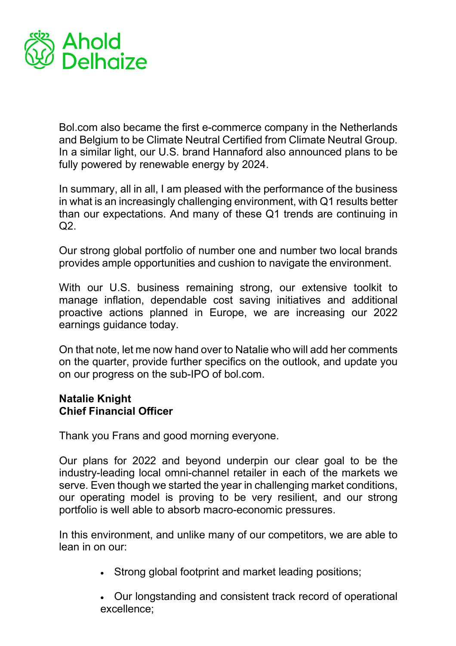

Bol.com also became the first e-commerce company in the Netherlands and Belgium to be Climate Neutral Certified from Climate Neutral Group. In a similar light, our U.S. brand Hannaford also announced plans to be fully powered by renewable energy by 2024.

In summary, all in all, I am pleased with the performance of the business in what is an increasingly challenging environment, with Q1 results better than our expectations. And many of these Q1 trends are continuing in  $Q2$ .

Our strong global portfolio of number one and number two local brands provides ample opportunities and cushion to navigate the environment.

With our U.S. business remaining strong, our extensive toolkit to manage inflation, dependable cost saving initiatives and additional proactive actions planned in Europe, we are increasing our 2022 earnings guidance today.

On that note, let me now hand over to Natalie who will add her comments on the quarter, provide further specifics on the outlook, and update you on our progress on the sub-IPO of bol.com. 

## **Natalie Knight Chief Financial Officer**

Thank you Frans and good morning everyone.   

Our plans for 2022 and beyond underpin our clear goal to be the industry-leading local omni-channel retailer in each of the markets we serve. Even though we started the year in challenging market conditions, our operating model is proving to be very resilient, and our strong portfolio is well able to absorb macro-economic pressures.

In this environment, and unlike many of our competitors, we are able to lean in on our:

• Strong global footprint and market leading positions;

• Our longstanding and consistent track record of operational excellence;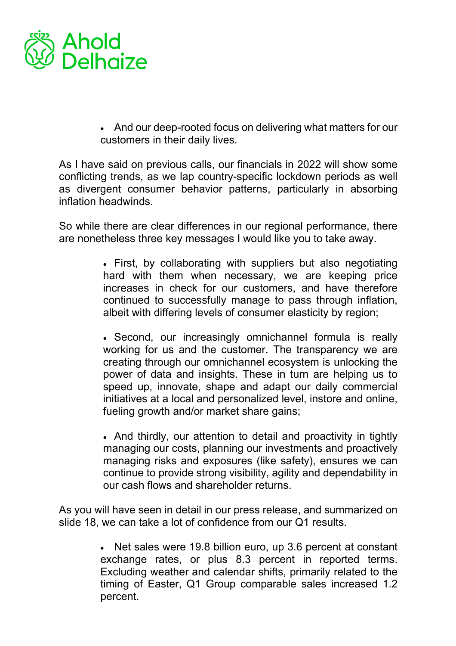

• And our deep-rooted focus on delivering what matters for our customers in their daily lives.

As I have said on previous calls, our financials in 2022 will show some conflicting trends, as we lap country-specific lockdown periods as well as divergent consumer behavior patterns, particularly in absorbing inflation headwinds.

So while there are clear differences in our regional performance, there are nonetheless three key messages I would like you to take away.

- First, by collaborating with suppliers but also negotiating hard with them when necessary, we are keeping price increases in check for our customers, and have therefore continued to successfully manage to pass through inflation, albeit with differing levels of consumer elasticity by region;
- Second, our increasingly omnichannel formula is really working for us and the customer. The transparency we are creating through our omnichannel ecosystem is unlocking the power of data and insights. These in turn are helping us to speed up, innovate, shape and adapt our daily commercial initiatives at a local and personalized level, instore and online, fueling growth and/or market share gains;
- And thirdly, our attention to detail and proactivity in tightly managing our costs, planning our investments and proactively managing risks and exposures (like safety), ensures we can continue to provide strong visibility, agility and dependability in our cash flows and shareholder returns.

As you will have seen in detail in our press release, and summarized on slide 18, we can take a lot of confidence from our Q1 results.

> • Net sales were 19.8 billion euro, up 3.6 percent at constant exchange rates, or plus 8.3 percent in reported terms. Excluding weather and calendar shifts, primarily related to the timing of Easter, Q1 Group comparable sales increased 1.2 percent.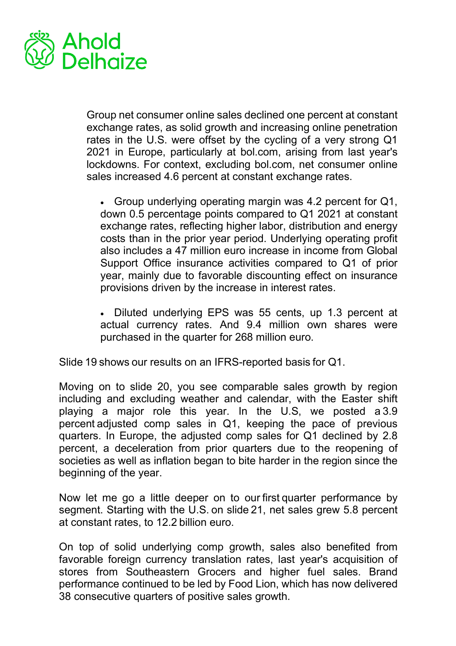

Group net consumer online sales declined one percent at constant exchange rates, as solid growth and increasing online penetration rates in the U.S. were offset by the cycling of a very strong Q1 2021 in Europe, particularly at bol.com, arising from last year's lockdowns. For context, excluding bol.com, net consumer online sales increased 4.6 percent at constant exchange rates.

• Group underlying operating margin was 4.2 percent for Q1, down 0.5 percentage points compared to Q1 2021 at constant exchange rates, reflecting higher labor, distribution and energy costs than in the prior year period. Underlying operating profit also includes a 47 million euro increase in income from Global Support Office insurance activities compared to Q1 of prior year, mainly due to favorable discounting effect on insurance provisions driven by the increase in interest rates.

• Diluted underlying EPS was 55 cents, up 1.3 percent at actual currency rates. And 9.4 million own shares were purchased in the quarter for 268 million euro.

Slide 19 shows our results on an IFRS-reported basis for Q1.

Moving on to slide 20, you see comparable sales growth by region including and excluding weather and calendar, with the Easter shift playing a major role this year. In the U.S, we posted a 3.9 percent adjusted comp sales in Q1, keeping the pace of previous quarters. In Europe, the adjusted comp sales for Q1 declined by 2.8 percent, a deceleration from prior quarters due to the reopening of societies as well as inflation began to bite harder in the region since the beginning of the year.

Now let me go a little deeper on to our first quarter performance by segment. Starting with the U.S. on slide 21, net sales grew 5.8 percent at constant rates, to 12.2 billion euro.

On top of solid underlying comp growth, sales also benefited from favorable foreign currency translation rates, last year's acquisition of stores from Southeastern Grocers and higher fuel sales. Brand performance continued to be led by Food Lion, which has now delivered 38 consecutive quarters of positive sales growth.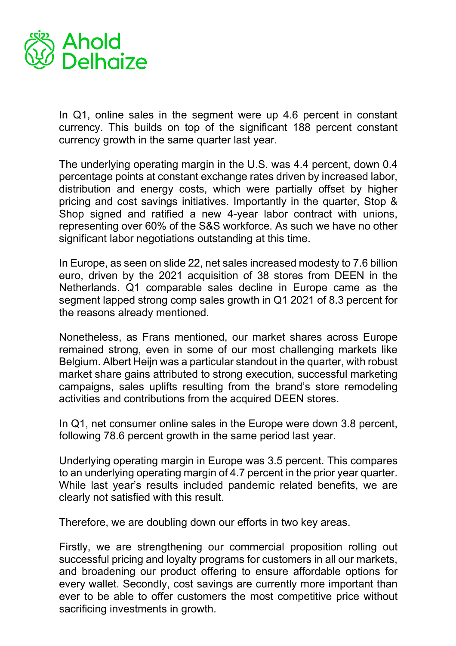

In Q1, online sales in the segment were up 4.6 percent in constant currency. This builds on top of the significant 188 percent constant currency growth in the same quarter last year.

The underlying operating margin in the U.S. was 4.4 percent, down 0.4 percentage points at constant exchange rates driven by increased labor, distribution and energy costs, which were partially offset by higher pricing and cost savings initiatives. Importantly in the quarter, Stop & Shop signed and ratified a new 4-year labor contract with unions, representing over 60% of the S&S workforce. As such we have no other significant labor negotiations outstanding at this time.

In Europe, as seen on slide 22, net sales increased modesty to 7.6 billion euro, driven by the 2021 acquisition of 38 stores from DEEN in the Netherlands. Q1 comparable sales decline in Europe came as the segment lapped strong comp sales growth in Q1 2021 of 8.3 percent for the reasons already mentioned.

Nonetheless, as Frans mentioned, our market shares across Europe remained strong, even in some of our most challenging markets like Belgium. Albert Heijn was a particular standout in the quarter, with robust market share gains attributed to strong execution, successful marketing campaigns, sales uplifts resulting from the brand's store remodeling activities and contributions from the acquired DEEN stores.

In Q1, net consumer online sales in the Europe were down 3.8 percent, following 78.6 percent growth in the same period last year.

Underlying operating margin in Europe was 3.5 percent. This compares to an underlying operating margin of 4.7 percent in the prior year quarter. While last year's results included pandemic related benefits, we are clearly not satisfied with this result.

Therefore, we are doubling down our efforts in two key areas.

Firstly, we are strengthening our commercial proposition rolling out successful pricing and loyalty programs for customers in all our markets, and broadening our product offering to ensure affordable options for every wallet. Secondly, cost savings are currently more important than ever to be able to offer customers the most competitive price without sacrificing investments in growth.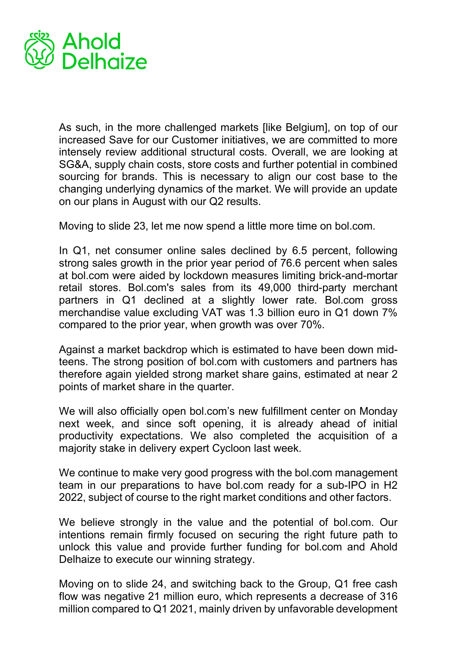

As such, in the more challenged markets [like Belgium], on top of our increased Save for our Customer initiatives, we are committed to more intensely review additional structural costs. Overall, we are looking at SG&A, supply chain costs, store costs and further potential in combined sourcing for brands. This is necessary to align our cost base to the changing underlying dynamics of the market. We will provide an update on our plans in August with our Q2 results.

Moving to slide 23, let me now spend a little more time on bol.com.

In Q1, net consumer online sales declined by 6.5 percent, following strong sales growth in the prior year period of 76.6 percent when sales at bol.com were aided by lockdown measures limiting brick-and-mortar retail stores. Bol.com's sales from its 49,000 third-party merchant partners in Q1 declined at a slightly lower rate. Bol.com gross merchandise value excluding VAT was 1.3 billion euro in Q1 down 7% compared to the prior year, when growth was over 70%.

Against a market backdrop which is estimated to have been down midteens. The strong position of bol.com with customers and partners has therefore again yielded strong market share gains, estimated at near 2 points of market share in the quarter.

We will also officially open bol.com's new fulfillment center on Monday next week, and since soft opening, it is already ahead of initial productivity expectations. We also completed the acquisition of a majority stake in delivery expert Cycloon last week.

We continue to make very good progress with the bol.com management team in our preparations to have bol.com ready for a sub-IPO in H2 2022, subject of course to the right market conditions and other factors.

We believe strongly in the value and the potential of bol.com. Our intentions remain firmly focused on securing the right future path to unlock this value and provide further funding for bol.com and Ahold Delhaize to execute our winning strategy.

Moving on to slide 24, and switching back to the Group, Q1 free cash flow was negative 21 million euro, which represents a decrease of 316 million compared to Q1 2021, mainly driven by unfavorable development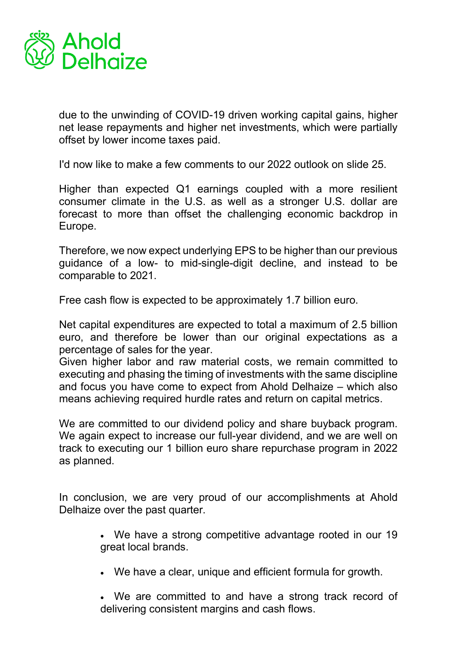

due to the unwinding of COVID-19 driven working capital gains, higher net lease repayments and higher net investments, which were partially offset by lower income taxes paid.

I'd now like to make a few comments to our 2022 outlook on slide 25.

Higher than expected Q1 earnings coupled with a more resilient consumer climate in the U.S. as well as a stronger U.S. dollar are forecast to more than offset the challenging economic backdrop in Europe.

Therefore, we now expect underlying EPS to be higher than our previous guidance of a low- to mid-single-digit decline, and instead to be comparable to 2021.

Free cash flow is expected to be approximately 1.7 billion euro.

Net capital expenditures are expected to total a maximum of 2.5 billion euro, and therefore be lower than our original expectations as a percentage of sales for the year.

Given higher labor and raw material costs, we remain committed to executing and phasing the timing of investments with the same discipline and focus you have come to expect from Ahold Delhaize – which also means achieving required hurdle rates and return on capital metrics.

We are committed to our dividend policy and share buyback program. We again expect to increase our full-year dividend, and we are well on track to executing our 1 billion euro share repurchase program in 2022 as planned.

In conclusion, we are very proud of our accomplishments at Ahold Delhaize over the past quarter.

- We have a strong competitive advantage rooted in our 19 great local brands.
- We have a clear, unique and efficient formula for growth.
- We are committed to and have a strong track record of delivering consistent margins and cash flows.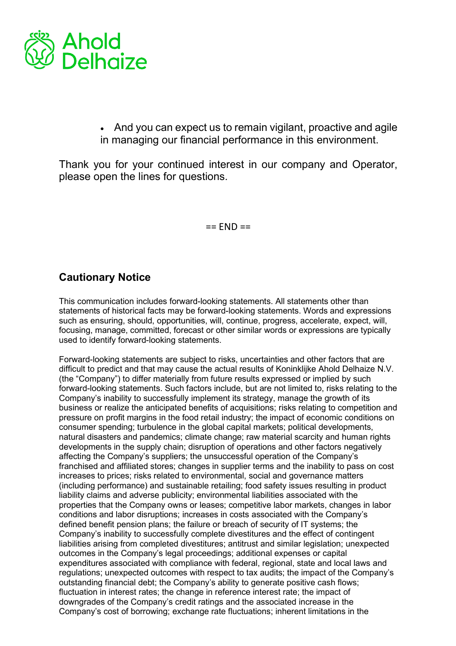

• And you can expect us to remain vigilant, proactive and agile in managing our financial performance in this environment.

Thank you for your continued interest in our company and Operator, please open the lines for questions. 

 $==$   $END ==$ 

## **Cautionary Notice**

This communication includes forward-looking statements. All statements other than statements of historical facts may be forward-looking statements. Words and expressions such as ensuring, should, opportunities, will, continue, progress, accelerate, expect, will, focusing, manage, committed, forecast or other similar words or expressions are typically used to identify forward-looking statements.

Forward-looking statements are subject to risks, uncertainties and other factors that are difficult to predict and that may cause the actual results of Koninklijke Ahold Delhaize N.V. (the "Company") to differ materially from future results expressed or implied by such forward-looking statements. Such factors include, but are not limited to, risks relating to the Company's inability to successfully implement its strategy, manage the growth of its business or realize the anticipated benefits of acquisitions; risks relating to competition and pressure on profit margins in the food retail industry; the impact of economic conditions on consumer spending; turbulence in the global capital markets; political developments, natural disasters and pandemics; climate change; raw material scarcity and human rights developments in the supply chain; disruption of operations and other factors negatively affecting the Company's suppliers; the unsuccessful operation of the Company's franchised and affiliated stores; changes in supplier terms and the inability to pass on cost increases to prices; risks related to environmental, social and governance matters (including performance) and sustainable retailing; food safety issues resulting in product liability claims and adverse publicity; environmental liabilities associated with the properties that the Company owns or leases; competitive labor markets, changes in labor conditions and labor disruptions; increases in costs associated with the Company's defined benefit pension plans; the failure or breach of security of IT systems; the Company's inability to successfully complete divestitures and the effect of contingent liabilities arising from completed divestitures; antitrust and similar legislation; unexpected outcomes in the Company's legal proceedings; additional expenses or capital expenditures associated with compliance with federal, regional, state and local laws and regulations; unexpected outcomes with respect to tax audits; the impact of the Company's outstanding financial debt; the Company's ability to generate positive cash flows; fluctuation in interest rates; the change in reference interest rate; the impact of downgrades of the Company's credit ratings and the associated increase in the Company's cost of borrowing; exchange rate fluctuations; inherent limitations in the